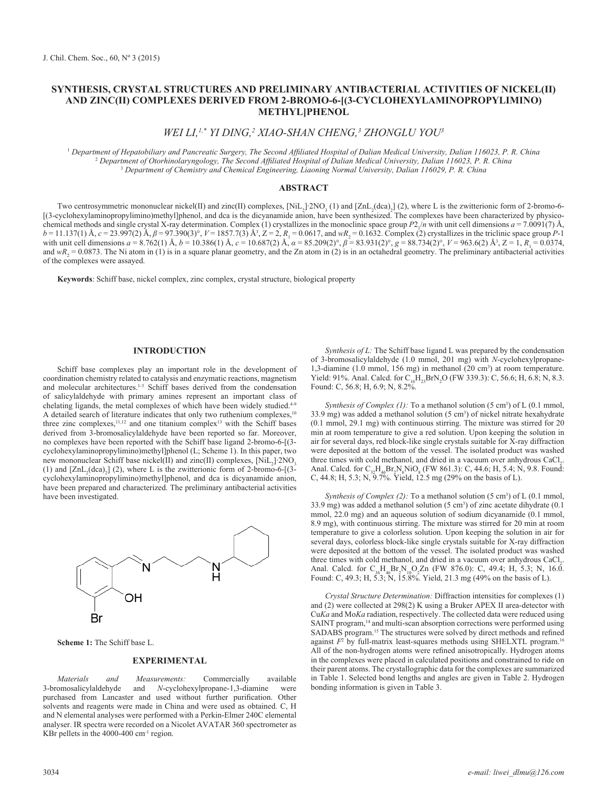# **SYNTHESIS, CRYSTAL STRUCTURES AND PRELIMINARY ANTIBACTERIAL ACTIVITIES OF NICKEL(II) AND ZINC(II) COMPLEXES DERIVED FROM 2-BROMO-6-[(3-CYCLOHEXYLAMINOPROPYLIMINO) METHYL]PHENOL**

*WEI LI,1,\* YI DING,2 XIAO-SHAN CHENG,3 ZHONGLU YOU3*

1  *Department of Hepatobiliary and Pancreatic Surgery, The Second Affiliated Hospital of Dalian Medical University, Dalian 116023, P. R. China* 2  *Department of Otorhinolaryngology, The Second Affiliated Hospital of Dalian Medical University, Dalian 116023, P. R. China* <sup>3</sup> *Department of Chemistry and Chemical Engineering, Liaoning Normal University, Dalian 116029, P. R. China*

## **ABSTRACT**

Two centrosymmetric mononuclear nickel(II) and zinc(II) complexes, [NiL<sub>2</sub>]⋅2NO<sub>3</sub> (1) and [ZnL<sub>2</sub>(dca)<sub>2</sub>] (2), where L is the zwitterionic form of 2-bromo-6-[(3-cyclohexylaminopropylimino)methyl]phenol, and dca is the dicyanamide anion, have been synthesized. The complexes have been characterized by physicochemical methods and single crystal X-ray determination. Complex (1) crystallizes in the monoclinic space group  $P2/n$  with unit cell dimensions  $a = 7.0091(7)$  Å,  $b = 11.137(1)$  Å,  $c = 23.997(2)$  Å,  $\beta = 97.390(3)$ °,  $V = 1857.7(3)$  Å<sup>3</sup>,  $Z = 2$ ,  $R_1 = 0.0617$ , and  $wR_2 = 0.1632$ . Complex (2) crystallizes in the triclinic space group *P*-1 with unit cell dimensions *a* = 8.762(1) Å, *b* = 10.386(1) Å, *c* = 10.687(2) Å, *α* = 85.209(2)°, *β* = 83.931(2)°, *g* = 88.734(2)°, *V* = 963.6(2) Å<sup>3</sup>, *Z* = 1, *R*<sub>1</sub> = 0.0374, and  $wR_2 = 0.0873$ . The Ni atom in (1) is in a square planar geometry, and the Zn atom in (2) is in an octahedral geometry. The preliminary antibacterial activities of the complexes were assayed.

**Keywords**: Schiff base, nickel complex, zinc complex, crystal structure, biological property

#### **INTRODUCTION**

Schiff base complexes play an important role in the development of coordination chemistry related to catalysis and enzymatic reactions, magnetism and molecular architectures.<sup>1-3</sup> Schiff bases derived from the condensation of salicylaldehyde with primary amines represent an important class of chelating ligands, the metal complexes of which have been widely studied.<sup>4-9</sup> A detailed search of literature indicates that only two ruthenium complexes,<sup>10</sup> three zinc complexes,  $11,12$  and one titanium complex<sup>13</sup> with the Schiff bases derived from 3-bromosalicylaldehyde have been reported so far. Moreover, no complexes have been reported with the Schiff base ligand 2-bromo-6-[(3 cyclohexylaminopropylimino)methyl]phenol (L; Scheme 1). In this paper, two new mononuclear Schiff base nickel(II) and zinc(II) complexes,  $[NiL_2]$  2NO<sub>3</sub> (1) and  $[ZnL_2(dca)_2]$  (2), where L is the zwitterionic form of 2-bromo-6-[(3cyclohexylaminopropylimino)methyl]phenol, and dca is dicyanamide anion, have been prepared and characterized. The preliminary antibacterial activities have been investigated.



**Scheme 1:** The Schiff base L.

#### **EXPERIMENTAL**

*Materials and Measurements:* Commercially available and *N*-cyclohexylpropane-1,3-diamine purchased from Lancaster and used without further purification. Other solvents and reagents were made in China and were used as obtained. C, H and N elemental analyses were performed with a Perkin-Elmer 240C elemental analyser. IR spectra were recorded on a Nicolet AVATAR 360 spectrometer as KBr pellets in the 4000-400 cm<sup>-1</sup> region.

*Synthesis of L:* The Schiff base ligand L was prepared by the condensation of 3-bromosalicylaldehyde (1.0 mmol, 201 mg) with *N*-cyclohexylpropane-1,3-diamine (1.0 mmol, 156 mg) in methanol (20 cm3 ) at room temperature. Yield: 91%. Anal. Calcd. for  $C_{16}H_{23}BrN_2O$  (FW 339.3): C, 56.6; H, 6.8; N, 8.3. Found: C, 56.8; H, 6.9; N, 8.2%.

*Synthesis of Complex (1):* To a methanol solution (5 cm<sup>3</sup>) of L (0.1 mmol, 33.9 mg) was added a methanol solution  $(5 \text{ cm}^3)$  of nickel nitrate hexahydrate (0.1 mmol, 29.1 mg) with continuous stirring. The mixture was stirred for 20 min at room temperature to give a red solution. Upon keeping the solution in air for several days, red block-like single crystals suitable for X-ray diffraction were deposited at the bottom of the vessel. The isolated product was washed three times with cold methanol, and dried in a vacuum over anhydrous  $CaCl<sub>2</sub>$ . Anal. Calcd. for  $C_{32}H_{46}Br_2N_6NiO_8$  (FW 861.3): C, 44.6; H, 5.4; N, 9.8. Found: C, 44.8; H, 5.3; N, 9.7%. Yield, 12.5 mg (29% on the basis of L).

*Synthesis of Complex (2):* To a methanol solution (5 cm<sup>3</sup>) of L (0.1 mmol, 33.9 mg) was added a methanol solution  $(5 \text{ cm}^3)$  of zinc acetate dihydrate  $(0.1 \text{ m})$ mmol, 22.0 mg) and an aqueous solution of sodium dicyanamide (0.1 mmol, 8.9 mg), with continuous stirring. The mixture was stirred for 20 min at room temperature to give a colorless solution. Upon keeping the solution in air for several days, colorless block-like single crystals suitable for X-ray diffraction were deposited at the bottom of the vessel. The isolated product was washed three times with cold methanol, and dried in a vacuum over anhydrous  $CaCl<sub>2</sub>$ . Anal. Calcd. for  $C_{36}H_{46}Br_2N_{10}O_2Zn$  (FW 876.0): C, 49.4; H, 5.3; N, 16.0. Found: C, 49.3; H,  $5.3$ ; N,  $15.8\%$ . Yield, 21.3 mg (49% on the basis of L).

*Crystal Structure Determination:* Diffraction intensities for complexes (1) and (2) were collected at 298(2) K using a Bruker APEX II area-detector with Cu*Ka* and Mo*Ka* radiation, respectively. The collected data were reduced using SAINT program,<sup>14</sup> and multi-scan absorption corrections were performed using SADABS program.15 The structures were solved by direct methods and refined against  $F<sup>2</sup>$  by full-matrix least-squares methods using SHELXTL program.<sup>16</sup> All of the non-hydrogen atoms were refined anisotropically. Hydrogen atoms in the complexes were placed in calculated positions and constrained to ride on their parent atoms. The crystallographic data for the complexes are summarized in Table 1. Selected bond lengths and angles are given in Table 2. Hydrogen bonding information is given in Table 3.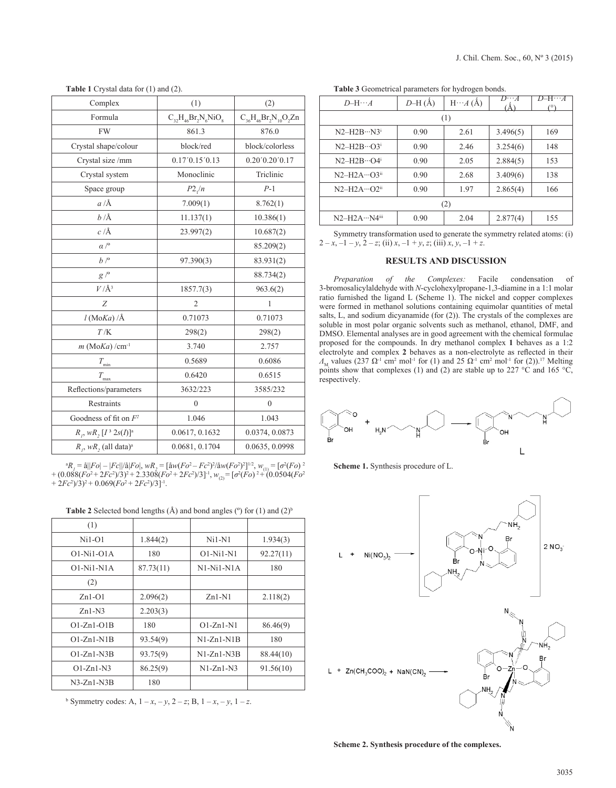|  |  | J. Chil. Chem. Soc., 60, Nº 3 (2015) |  |  |  |  |  |  |
|--|--|--------------------------------------|--|--|--|--|--|--|
|--|--|--------------------------------------|--|--|--|--|--|--|

| Complex                               | (1)                        | (2)                           |  |
|---------------------------------------|----------------------------|-------------------------------|--|
| Formula                               | $C_{32}H_{46}Br_2N_6NiO_8$ | $C_{36}H_{46}Br_2N_{10}O_2Zn$ |  |
| <b>FW</b>                             | 861.3                      | 876.0                         |  |
| Crystal shape/colour                  | block/red                  | block/colorless               |  |
| Crystal size /mm                      | 0.17'0.15'0.13             | 0.20'0.20'0.17                |  |
| Crystal system                        | Monoclinic                 | Triclinic                     |  |
| Space group                           | $P2_1/n$                   | $P-1$                         |  |
| $a/\text{\AA}$                        | 7.009(1)                   | 8.762(1)                      |  |
| $b/\AA$                               | 11.137(1)                  | 10.386(1)                     |  |
| $c/\text{\AA}$                        | 23.997(2)                  | 10.687(2)                     |  |
| $\alpha$ / $\circ$                    |                            | 85.209(2)                     |  |
| $b$ / $\degree$                       | 97.390(3)                  | 83.931(2)                     |  |
| $g/^{\circ}$                          |                            | 88.734(2)                     |  |
| $V/\AA$ <sup>3</sup>                  | 1857.7(3)                  | 963.6(2)                      |  |
| Z                                     | $\overline{2}$             | 1                             |  |
| $l$ (MoKa) /Å                         | 0.71073                    | 0.71073                       |  |
| $T/\mathrm{K}$                        | 298(2)                     | 298(2)                        |  |
| $m$ (MoKa) /cm <sup>-1</sup>          | 3.740                      | 2.757                         |  |
| $T_{\rm min}$                         | 0.5689                     | 0.6086                        |  |
| $T_{\max}$                            | 0.6420                     | 0.6515                        |  |
| Reflections/parameters                | 3632/223                   | 3585/232                      |  |
| Restraints                            | $\overline{0}$             | $\mathbf{0}$                  |  |
| Goodness of fit on $F^2$              | 1.046                      | 1.043                         |  |
| $R_{I}$ , w $R_{2}[I^3 2s(I)]^a$      | 0.0617, 0.1632             | 0.0374, 0.0873                |  |
| $R_{i}$ , wR, (all data) <sup>a</sup> | 0.0681, 0.1704             | 0.0635, 0.0998                |  |

**Table 1** Crystal data for (1) and (2).

 ${}^{a}R_{I} = \hat{a}||Fo| - |Fc||\hat{a}|Fo|, \, wR_{2} = [\hat{a}w(Fo^{2} - Fc^{2})^{2}/\hat{a}w(Fo^{2})^{2}]^{1/2}, \, w_{(1)} = [\sigma^{2}(Fo)^{2}]^{1/2}$  $+(0.088(Fo<sup>2</sup>+2Fc<sup>2</sup>)/3)<sup>2</sup>+2.3308(Fo<sup>2</sup>+2Fc<sup>2</sup>)/3]<sup>-1</sup>, w<sub>(2)</sub>=[\sigma<sup>2</sup>(Fo)<sup>2</sup>+(0.0504(Fo<sup>2</sup>))$  $+ 2Fc^2/3^2 + 0.069(Fo^2 + 2Fc^2)/3$ <sup>-1</sup>.

|  |  | <b>Table 2</b> Selected bond lengths $(A)$ and bond angles $(°)$ for $(1)$ and $(2)b$ |
|--|--|---------------------------------------------------------------------------------------|
|--|--|---------------------------------------------------------------------------------------|

| (1)          |           |              |           |
|--------------|-----------|--------------|-----------|
| $Ni1-O1$     | 1.844(2)  | $Ni1-N1$     | 1.934(3)  |
| $O1-Ni1-O1A$ | 180       | 01-Ni1-N1    | 92.27(11) |
| $O1-Ni1-N1A$ | 87.73(11) | $N1-Ni1-N1A$ | 180       |
| (2)          |           |              |           |
| $Zn1-O1$     | 2.096(2)  | $Zn1-N1$     | 2.118(2)  |
| $Zn1-N3$     | 2.203(3)  |              |           |
| $O1-Zn1-O1B$ | 180       | $Q1-Zn1-N1$  | 86.46(9)  |
| $O1-Zn1-N1B$ | 93.54(9)  | $N1-Zn1-N1R$ | 180       |
| $O1-Zn1-N3B$ | 93.75(9)  | $N1-Zn1-N3B$ | 88.44(10) |
| $O1-Zn1-N3$  | 86.25(9)  | $N1-Zn1-N3$  | 91.56(10) |
| $N3-Zn1-N3B$ | 180       |              |           |

 $^{\circ}$  Symmetry codes: A,  $1 - x, -y, 2 - z$ ; B,  $1 - x, -y, 1 - z$ .

**Table 3** Geometrical parameters for hydrogen bonds.

| $D$ -H $\cdots$ A   | $D-H(\AA)$ | $H \cdots A(A)$ | $D\cdots A$ | $D=H\cdots A$<br>(٥١ |  |
|---------------------|------------|-----------------|-------------|----------------------|--|
|                     |            | (1)             |             |                      |  |
| $N2-H2B\cdots N3^i$ | 0.90       | 2.61            | 3.496(5)    | 169                  |  |
| $N2-H2B\cdots O3^i$ | 0.90       | 2.46            | 3.254(6)    | 148                  |  |
| $N2-H2B\cdots O4^i$ | 0.90       | 2.05            | 2.884(5)    | 153                  |  |
| $N2-H2A\cdots O3ii$ | 0.90       | 2.68            | 3.409(6)    | 138                  |  |
| $N2-H2A\cdots O2^n$ | 0.90       | 1.97            | 2.865(4)    | 166                  |  |
| (2)                 |            |                 |             |                      |  |
| N2-H2A…N4iii        | 0.90       | 2.04            | 2.877(4)    | 155                  |  |

Symmetry transformation used to generate the symmetry related atoms: (i)  $2 - x$ ,  $-1 - y$ ,  $2 - z$ ; (ii)  $x$ ,  $-1 + y$ ,  $z$ ; (iii)  $x$ ,  $y$ ,  $-1 + z$ .

### **RESULTS AND DISCUSSION**

*Preparation of the Complexes:* Facile condensation of 3-bromosalicylaldehyde with *N*-cyclohexylpropane-1,3-diamine in a 1:1 molar ratio furnished the ligand L (Scheme 1). The nickel and copper complexes were formed in methanol solutions containing equimolar quantities of metal salts, L, and sodium dicyanamide (for (2)). The crystals of the complexes are soluble in most polar organic solvents such as methanol, ethanol, DMF, and DMSO. Elemental analyses are in good agreement with the chemical formulae proposed for the compounds. In dry methanol complex **1** behaves as a 1:2 electrolyte and complex **2** behaves as a non-electrolyte as reflected in their  $Λ<sub>M</sub>$  values (237 Ω<sup>-1</sup> cm<sup>2</sup> mol<sup>-1</sup> for (1) and 25 Ω<sup>-1</sup> cm<sup>2</sup> mol<sup>-1</sup> for (2)).<sup>17</sup> Melting points show that complexes (1) and (2) are stable up to 227 °C and 165 °C, respectively.



**Scheme 1.** Synthesis procedure of L.



**Scheme 2. Synthesis procedure of the complexes.**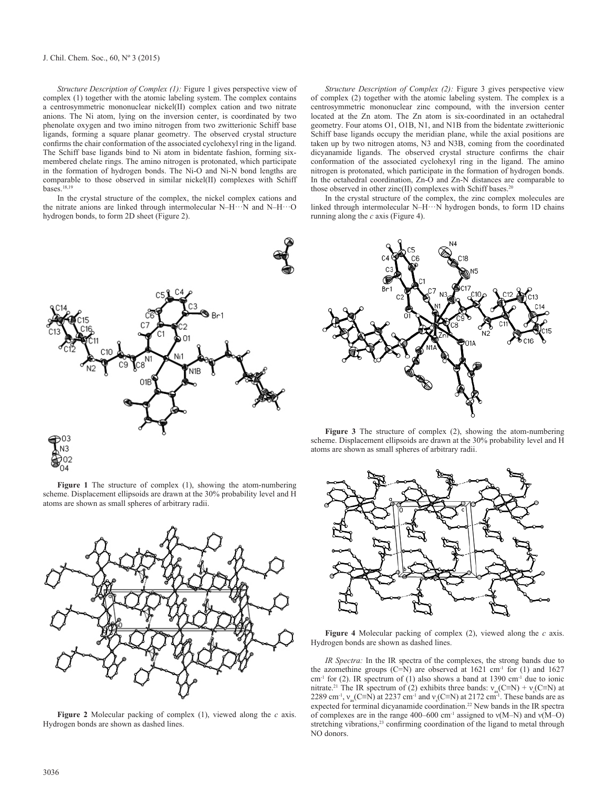#### J. Chil. Chem. Soc., 60, Nº 3 (2015)

*Structure Description of Complex (1):* Figure 1 gives perspective view of complex (1) together with the atomic labeling system. The complex contains a centrosymmetric mononuclear nickel(II) complex cation and two nitrate anions. The Ni atom, lying on the inversion center, is coordinated by two phenolate oxygen and two imino nitrogen from two zwitterionic Schiff base ligands, forming a square planar geometry. The observed crystal structure confirms the chair conformation of the associated cyclohexyl ring in the ligand. The Schiff base ligands bind to Ni atom in bidentate fashion, forming sixmembered chelate rings. The amino nitrogen is protonated, which participate in the formation of hydrogen bonds. The Ni-O and Ni-N bond lengths are comparable to those observed in similar nickel(II) complexes with Schiff bases.18,19

In the crystal structure of the complex, the nickel complex cations and the nitrate anions are linked through intermolecular N–H···N and N–H···O hydrogen bonds, to form 2D sheet (Figure 2).



**Figure 1** The structure of complex (1), showing the atom-numbering scheme. Displacement ellipsoids are drawn at the 30% probability level and H atoms are shown as small spheres of arbitrary radii.



**Figure 2** Molecular packing of complex (1), viewed along the *c* axis. Hydrogen bonds are shown as dashed lines.

*Structure Description of Complex (2):* Figure 3 gives perspective view of complex (2) together with the atomic labeling system. The complex is a centrosymmetric mononuclear zinc compound, with the inversion center located at the Zn atom. The Zn atom is six-coordinated in an octahedral geometry. Four atoms O1, O1B, N1, and N1B from the bidentate zwitterionic Schiff base ligands occupy the meridian plane, while the axial positions are taken up by two nitrogen atoms, N3 and N3B, coming from the coordinated dicyanamide ligands. The observed crystal structure confirms the chair conformation of the associated cyclohexyl ring in the ligand. The amino nitrogen is protonated, which participate in the formation of hydrogen bonds. In the octahedral coordination, Zn-O and Zn-N distances are comparable to those observed in other zinc(II) complexes with Schiff bases.<sup>2</sup>

In the crystal structure of the complex, the zinc complex molecules are linked through intermolecular  $N-H\cdots N$  hydrogen bonds, to form 1D chains running along the *c* axis (Figure 4).



**Figure 3** The structure of complex (2), showing the atom-numbering scheme. Displacement ellipsoids are drawn at the 30% probability level and H atoms are shown as small spheres of arbitrary radii.



**Figure 4** Molecular packing of complex (2), viewed along the *c* axis. Hydrogen bonds are shown as dashed lines.

*IR Spectra:* In the IR spectra of the complexes, the strong bands due to the azomethine groups (C=N) are observed at  $1621 \text{ cm}^{-1}$  for (1) and  $1627$  $cm<sup>-1</sup>$  for (2). IR spectrum of (1) also shows a band at 1390  $cm<sup>-1</sup>$  due to ionic nitrate.<sup>21</sup> The IR spectrum of (2) exhibits three bands:  $v_{\text{as}}(C \equiv N) + v_s(C \equiv N)$  at 2289 cm<sup>-1</sup>,  $v_{as}$ (C≡N) at 2237 cm<sup>-1</sup> and  $v_s$ (C≡N) at 2172 cm<sup>-1</sup>. These bands are as expected for terminal dicyanamide coordination.22 New bands in the IR spectra of complexes are in the range 400–600 cm<sup>-1</sup> assigned to  $v(M-N)$  and  $v(M-O)$ stretching vibrations,<sup>23</sup> confirming coordination of the ligand to metal through NO donors.